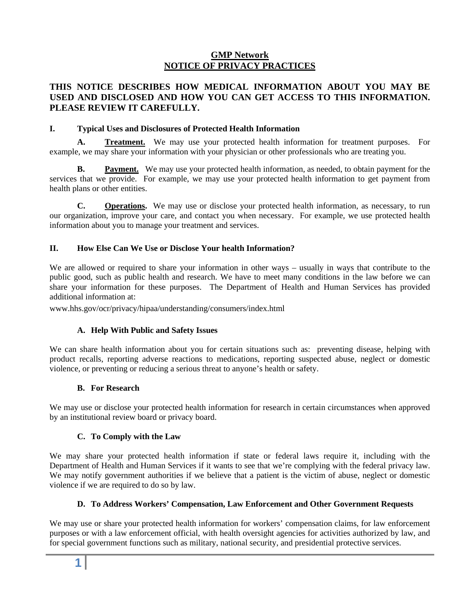## **GMP Network NOTICE OF PRIVACY PRACTICES**

## **THIS NOTICE DESCRIBES HOW MEDICAL INFORMATION ABOUT YOU MAY BE USED AND DISCLOSED AND HOW YOU CAN GET ACCESS TO THIS INFORMATION. PLEASE REVIEW IT CAREFULLY.**

### **I. Typical Uses and Disclosures of Protected Health Information**

**A. Treatment.** We may use your protected health information for treatment purposes. For example, we may share your information with your physician or other professionals who are treating you.

**B. Payment.** We may use your protected health information, as needed, to obtain payment for the services that we provide. For example, we may use your protected health information to get payment from health plans or other entities.

**C. Operations.** We may use or disclose your protected health information, as necessary, to run our organization, improve your care, and contact you when necessary. For example, we use protected health information about you to manage your treatment and services.

### **II. How Else Can We Use or Disclose Your health Information?**

We are allowed or required to share your information in other ways – usually in ways that contribute to the public good, such as public health and research. We have to meet many conditions in the law before we can share your information for these purposes. The Department of Health and Human Services has provided additional information at:

www.hhs.gov/ocr/privacy/hipaa/understanding/consumers/index.html

### **A. Help With Public and Safety Issues**

We can share health information about you for certain situations such as: preventing disease, helping with product recalls, reporting adverse reactions to medications, reporting suspected abuse, neglect or domestic violence, or preventing or reducing a serious threat to anyone's health or safety.

### **B. For Research**

We may use or disclose your protected health information for research in certain circumstances when approved by an institutional review board or privacy board.

### **C. To Comply with the Law**

We may share your protected health information if state or federal laws require it, including with the Department of Health and Human Services if it wants to see that we're complying with the federal privacy law. We may notify government authorities if we believe that a patient is the victim of abuse, neglect or domestic violence if we are required to do so by law.

### **D. To Address Workers' Compensation, Law Enforcement and Other Government Requests**

We may use or share your protected health information for workers' compensation claims, for law enforcement purposes or with a law enforcement official, with health oversight agencies for activities authorized by law, and for special government functions such as military, national security, and presidential protective services.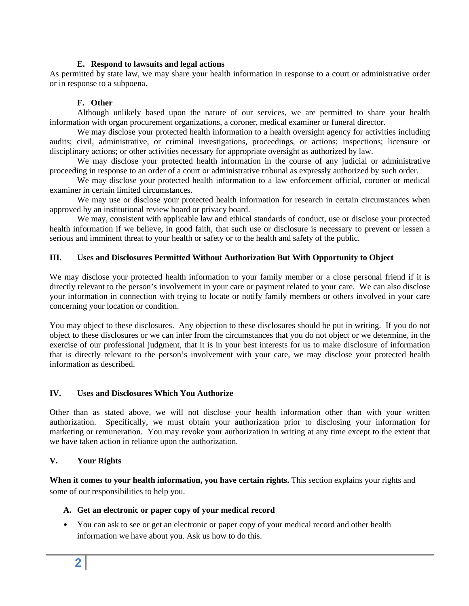#### **E. Respond to lawsuits and legal actions**

As permitted by state law, we may share your health information in response to a court or administrative order or in response to a subpoena.

### **F. Other**

Although unlikely based upon the nature of our services, we are permitted to share your health information with organ procurement organizations, a coroner, medical examiner or funeral director.

We may disclose your protected health information to a health oversight agency for activities including audits; civil, administrative, or criminal investigations, proceedings, or actions; inspections; licensure or disciplinary actions; or other activities necessary for appropriate oversight as authorized by law.

We may disclose your protected health information in the course of any judicial or administrative proceeding in response to an order of a court or administrative tribunal as expressly authorized by such order.

We may disclose your protected health information to a law enforcement official, coroner or medical examiner in certain limited circumstances.

We may use or disclose your protected health information for research in certain circumstances when approved by an institutional review board or privacy board.

We may, consistent with applicable law and ethical standards of conduct, use or disclose your protected health information if we believe, in good faith, that such use or disclosure is necessary to prevent or lessen a serious and imminent threat to your health or safety or to the health and safety of the public.

#### **III. Uses and Disclosures Permitted Without Authorization But With Opportunity to Object**

We may disclose your protected health information to your family member or a close personal friend if it is directly relevant to the person's involvement in your care or payment related to your care. We can also disclose your information in connection with trying to locate or notify family members or others involved in your care concerning your location or condition.

You may object to these disclosures. Any objection to these disclosures should be put in writing. If you do not object to these disclosures or we can infer from the circumstances that you do not object or we determine, in the exercise of our professional judgment, that it is in your best interests for us to make disclosure of information that is directly relevant to the person's involvement with your care, we may disclose your protected health information as described.

### **IV. Uses and Disclosures Which You Authorize**

Other than as stated above, we will not disclose your health information other than with your written authorization. Specifically, we must obtain your authorization prior to disclosing your information for marketing or remuneration. You may revoke your authorization in writing at any time except to the extent that we have taken action in reliance upon the authorization.

### **V. Your Rights**

**When it comes to your health information, you have certain rights.** This section explains your rights and some of our responsibilities to help you.

### **A. Get an electronic or paper copy of your medical record**

• You can ask to see or get an electronic or paper copy of your medical record and other health information we have about you. Ask us how to do this.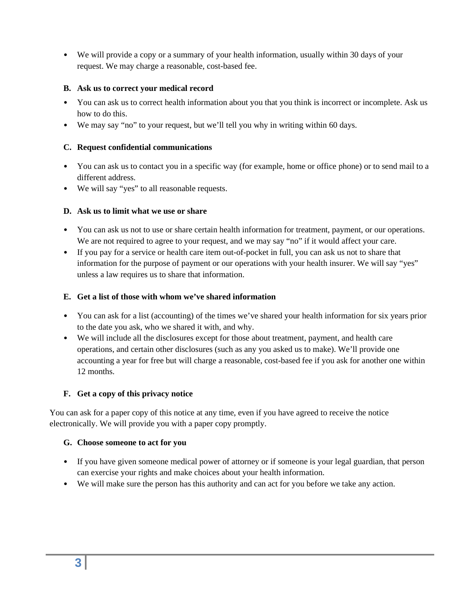• We will provide a copy or a summary of your health information, usually within 30 days of your request. We may charge a reasonable, cost-based fee.

## **B. Ask us to correct your medical record**

- You can ask us to correct health information about you that you think is incorrect or incomplete. Ask us how to do this.
- We may say "no" to your request, but we'll tell you why in writing within 60 days.

# **C. Request confidential communications**

- You can ask us to contact you in a specific way (for example, home or office phone) or to send mail to a different address.
- We will say "yes" to all reasonable requests.

# **D. Ask us to limit what we use or share**

- You can ask us not to use or share certain health information for treatment, payment, or our operations. We are not required to agree to your request, and we may say "no" if it would affect your care.
- If you pay for a service or health care item out-of-pocket in full, you can ask us not to share that information for the purpose of payment or our operations with your health insurer. We will say "yes" unless a law requires us to share that information.

# **E. Get a list of those with whom we've shared information**

- You can ask for a list (accounting) of the times we've shared your health information for six years prior to the date you ask, who we shared it with, and why.
- We will include all the disclosures except for those about treatment, payment, and health care operations, and certain other disclosures (such as any you asked us to make). We'll provide one accounting a year for free but will charge a reasonable, cost-based fee if you ask for another one within 12 months.

# **F. Get a copy of this privacy notice**

You can ask for a paper copy of this notice at any time, even if you have agreed to receive the notice electronically. We will provide you with a paper copy promptly.

## **G. Choose someone to act for you**

- If you have given someone medical power of attorney or if someone is your legal guardian, that person can exercise your rights and make choices about your health information.
- We will make sure the person has this authority and can act for you before we take any action.